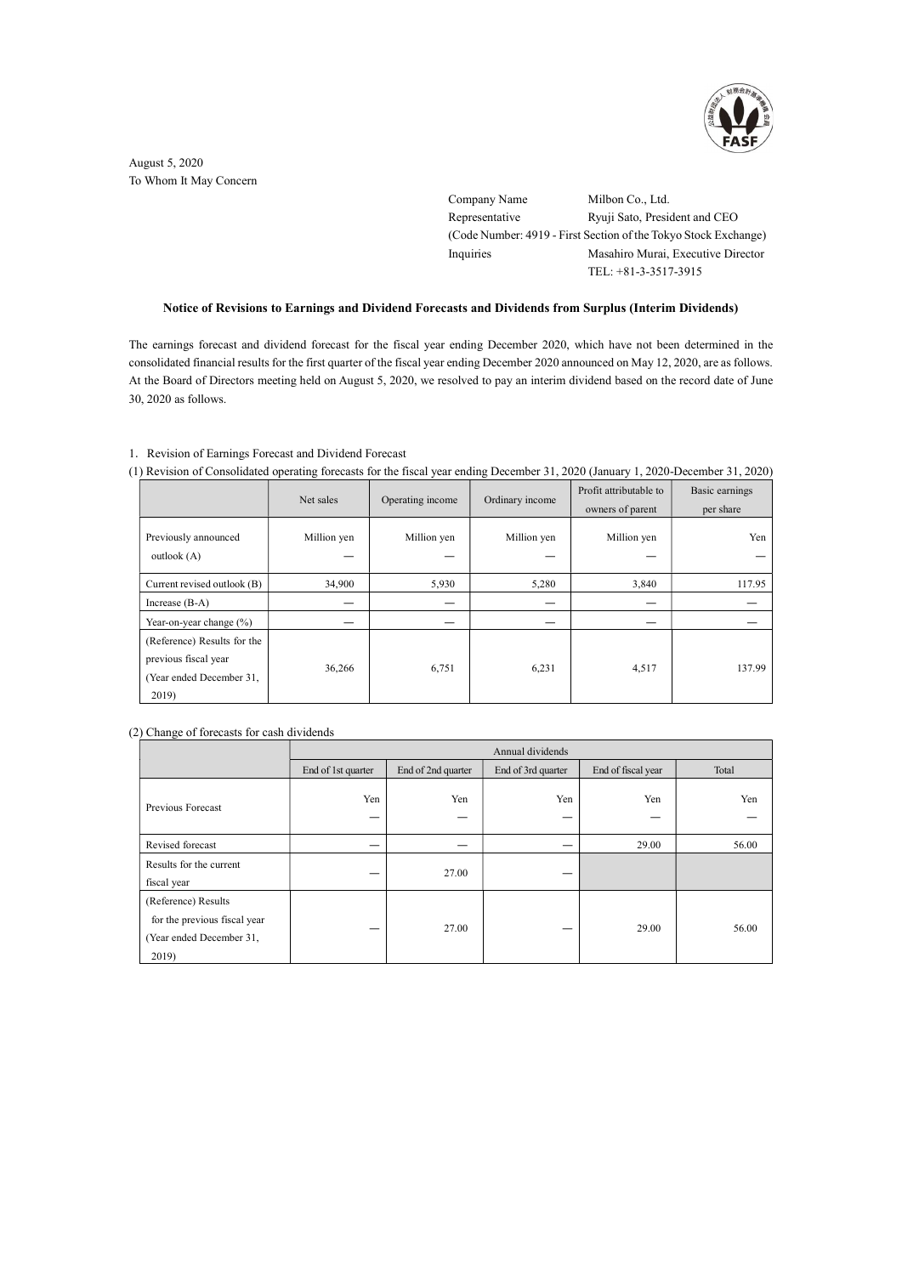

August 5, 2020 To Whom It May Concern

> Company Name Milbon Co., Ltd. Representative Ryuji Sato, President and CEO (Code Number: 4919 - First Section of the Tokyo Stock Exchange) Inquiries Masahiro Murai, Executive Director TEL: +81-3-3517-3915

## Notice of Revisions to Earnings and Dividend Forecasts and Dividends from Surplus (Interim Dividends)

The earnings forecast and dividend forecast for the fiscal year ending December 2020, which have not been determined in the consolidated financial results for the first quarter of the fiscal year ending December 2020 announced on May 12, 2020, are as follows. At the Board of Directors meeting held on August 5, 2020, we resolved to pay an interim dividend based on the record date of June 30, 2020 as follows.

## 1.Revision of Earnings Forecast and Dividend Forecast

(1) Revision of Consolidated operating forecasts for the fiscal year ending December 31, 2020 (January 1, 2020-December 31, 2020)

|                                                                                          | Net sales   | Operating income | Ordinary income | Profit attributable to<br>owners of parent | Basic earnings<br>per share |
|------------------------------------------------------------------------------------------|-------------|------------------|-----------------|--------------------------------------------|-----------------------------|
| Previously announced<br>outlook $(A)$                                                    | Million yen | Million yen      | Million yen     | Million yen                                | Yen                         |
| Current revised outlook (B)                                                              | 34,900      | 5,930            | 5,280           | 3,840                                      | 117.95                      |
| Increase $(B-A)$                                                                         |             |                  |                 |                                            |                             |
| Year-on-year change $(\%)$                                                               |             |                  |                 |                                            |                             |
| (Reference) Results for the<br>previous fiscal year<br>(Year ended December 31,<br>2019) | 36,266      | 6,751            | 6,231           | 4,517                                      | 137.99                      |

### (2) Change of forecasts for cash dividends

|                                                                                          | Annual dividends   |                    |                    |                    |       |  |
|------------------------------------------------------------------------------------------|--------------------|--------------------|--------------------|--------------------|-------|--|
|                                                                                          | End of 1st quarter | End of 2nd quarter | End of 3rd quarter | End of fiscal year | Total |  |
| Previous Forecast                                                                        | Yen<br>—           | Yen<br>–           | Yen                | Yen                | Yen   |  |
| Revised forecast                                                                         |                    |                    |                    | 29.00              | 56.00 |  |
| Results for the current<br>fiscal year                                                   | _                  | 27.00              |                    |                    |       |  |
| (Reference) Results<br>for the previous fiscal year<br>(Year ended December 31,<br>2019) | —                  | 27.00              |                    | 29.00              | 56.00 |  |